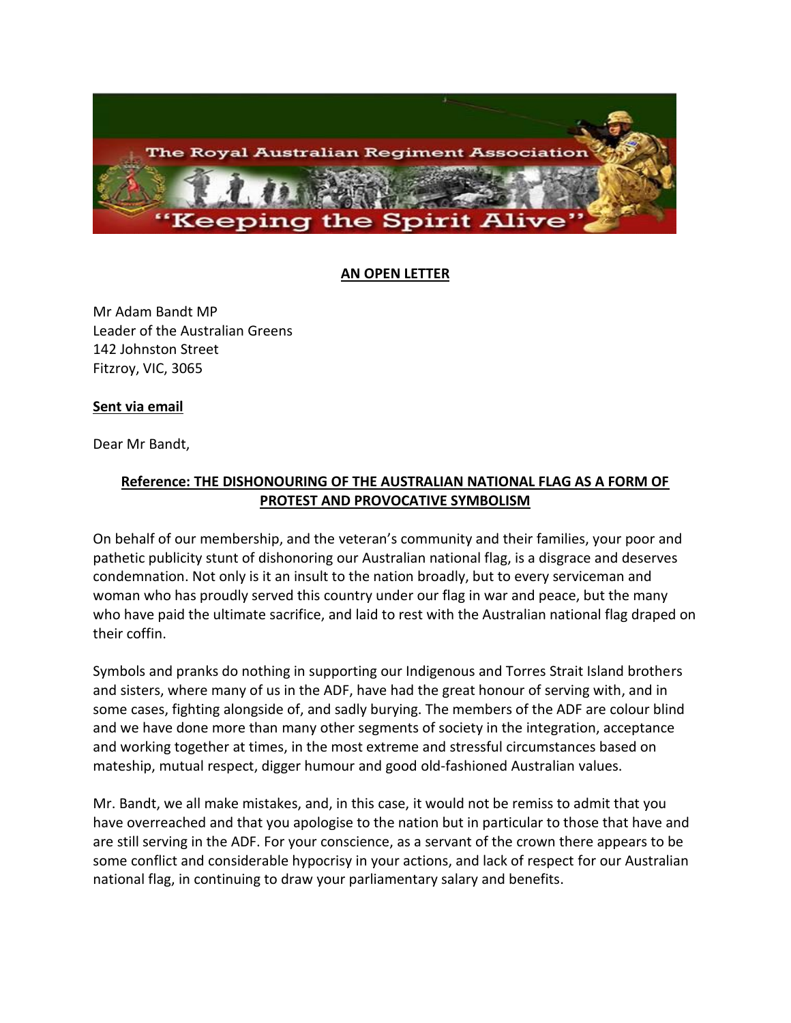

## **AN OPEN LETTER**

Mr Adam Bandt MP Leader of the Australian Greens 142 Johnston Street Fitzroy, VIC, 3065

## **Sent via email**

Dear Mr Bandt,

## **Reference: THE DISHONOURING OF THE AUSTRALIAN NATIONAL FLAG AS A FORM OF PROTEST AND PROVOCATIVE SYMBOLISM**

On behalf of our membership, and the veteran's community and their families, your poor and pathetic publicity stunt of dishonoring our Australian national flag, is a disgrace and deserves condemnation. Not only is it an insult to the nation broadly, but to every serviceman and woman who has proudly served this country under our flag in war and peace, but the many who have paid the ultimate sacrifice, and laid to rest with the Australian national flag draped on their coffin.

Symbols and pranks do nothing in supporting our Indigenous and Torres Strait Island brothers and sisters, where many of us in the ADF, have had the great honour of serving with, and in some cases, fighting alongside of, and sadly burying. The members of the ADF are colour blind and we have done more than many other segments of society in the integration, acceptance and working together at times, in the most extreme and stressful circumstances based on mateship, mutual respect, digger humour and good old-fashioned Australian values.

Mr. Bandt, we all make mistakes, and, in this case, it would not be remiss to admit that you have overreached and that you apologise to the nation but in particular to those that have and are still serving in the ADF. For your conscience, as a servant of the crown there appears to be some conflict and considerable hypocrisy in your actions, and lack of respect for our Australian national flag, in continuing to draw your parliamentary salary and benefits.